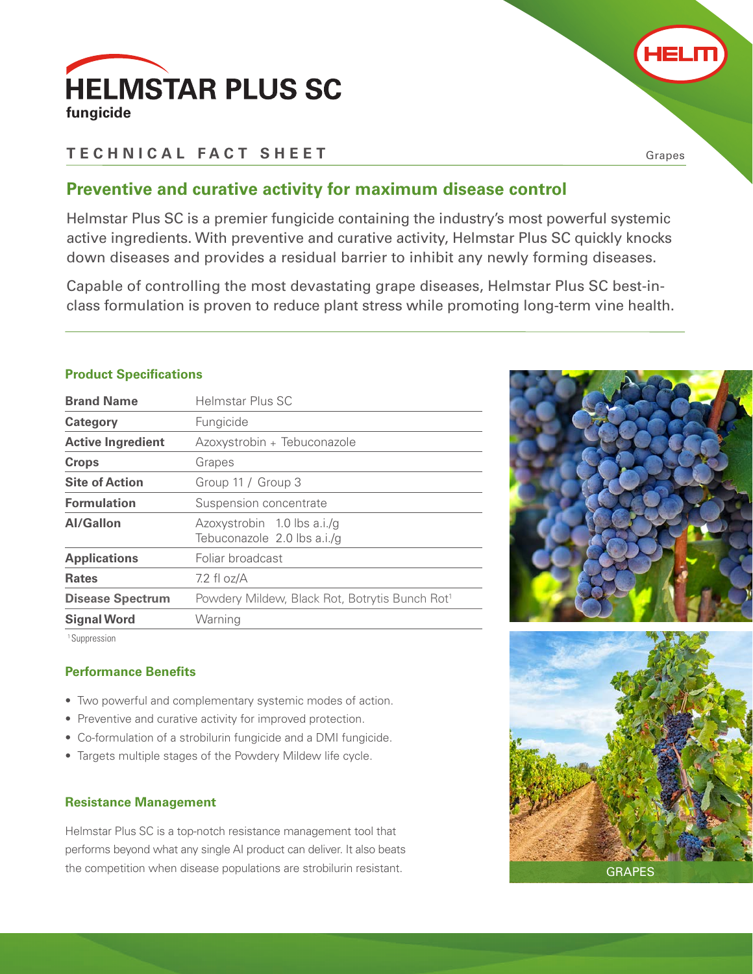

## **TECHNICAL FACT SHEET**

Grapes

HELM

### **Preventive and curative activity for maximum disease control**

Helmstar Plus SC is a premier fungicide containing the industry's most powerful systemic active ingredients. With preventive and curative activity, Helmstar Plus SC quickly knocks down diseases and provides a residual barrier to inhibit any newly forming diseases.

Capable of controlling the most devastating grape diseases, Helmstar Plus SC best-inclass formulation is proven to reduce plant stress while promoting long-term vine health.

#### **Product Specifications**

| <b>Brand Name</b>        | Helmstar Plus SC                                           |  |  |
|--------------------------|------------------------------------------------------------|--|--|
| Category                 | Fungicide                                                  |  |  |
| <b>Active Ingredient</b> | Azoxystrobin + Tebuconazole                                |  |  |
| <b>Crops</b>             | Grapes                                                     |  |  |
| <b>Site of Action</b>    | Group 11 / Group 3                                         |  |  |
| <b>Formulation</b>       | Suspension concentrate                                     |  |  |
| Al/Gallon                | Azoxystrobin 1.0 lbs a.i./q<br>Tebuconazole 2.0 lbs a.i./g |  |  |
| <b>Applications</b>      | Foliar broadcast                                           |  |  |
| <b>Rates</b>             | 7.2 fl $oz/A$                                              |  |  |
| <b>Disease Spectrum</b>  | Powdery Mildew, Black Rot, Botrytis Bunch Rot <sup>1</sup> |  |  |
| <b>Signal Word</b>       | Warning                                                    |  |  |

<sup>1</sup>Suppression

#### **Performance Benefits**

- Two powerful and complementary systemic modes of action.
- Preventive and curative activity for improved protection.
- Co-formulation of a strobilurin fungicide and a DMI fungicide.
- Targets multiple stages of the Powdery Mildew life cycle.

#### **Resistance Management**

Helmstar Plus SC is a top-notch resistance management tool that performs beyond what any single AI product can deliver. It also beats the competition when disease populations are strobilurin resistant. The competition when disease populations are strobilurin resistant.